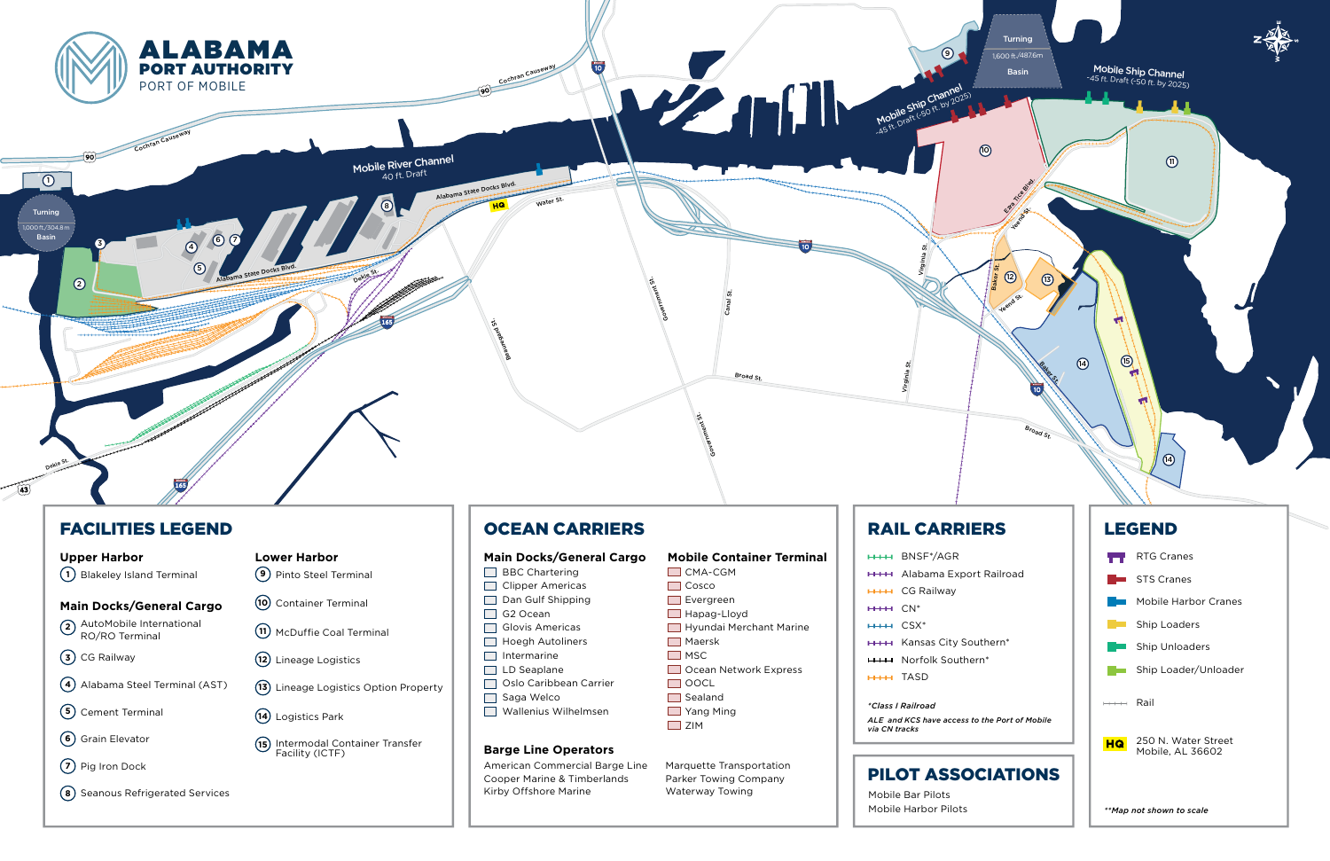

## FACILITIES LEGEND

AutoMobile International **2** RO/RO Terminal

**3)** CG Railway

Intermodal Container Transfer

**12)** Lineage Logistics

**10)** Container Terminal

**9)** Pinto Steel Terminal

McDuffie Coal Terminal **11**

**13)** Lineage Logistics Option Property

Logistics Park **14**

**15)** Intermodal Co<br>Facility (ICTF)

- **5)** Cement Terminal
- **6)** Grain Elevator
- **7)** Pig Iron Dock
- **8** ) Seanous Refrigerated Services

Alabama Steel Terminal (AST) **4**

### **Upper Harbor**

**1)** Blakeley Island Terminal

**Main Docks/General Cargo**

**Lower Harbor**

# OCEAN CARRIERS

American Commercial Barge Line Cooper Marine & Timberlands Kirby Offshore Marine

Marquette Transportation Parker Towing Company Waterway Towing

# **RAIL CARRIE**

#### **Main Docks/General Cargo**

**BBC** Chartering Clipper Americas  $\Box$  Dan Gulf Shipping G2 Ocean Glovis Americas **Hoegh Autoliners**  $\Box$  Intermarine LD Seaplane □ Oslo Caribbean Carrier Saga Welco Wallenius Wilhelmsen

### **Barge Line Operators**

## **Mobile Container Terminal**

**CMA-CGM** Cosco Evergreen Hapag-Lloyd **Hyundai Merchant Marine** 

## Maersk

- $\Box$  MSC Ocean Network Express
- $\Box$  OOCL  $\Box$  Sealand
- **T** Yang Ming **D** ZIM

|                           | <b>HHH BNSF*/AGR</b>      |  |  |  |  |  |  |  |
|---------------------------|---------------------------|--|--|--|--|--|--|--|
|                           | <b>HHH</b> Alabama Expor  |  |  |  |  |  |  |  |
|                           | <b>HHH CG Railway</b>     |  |  |  |  |  |  |  |
| $H*H*$ $CN*$              |                           |  |  |  |  |  |  |  |
| HHH CSX*                  |                           |  |  |  |  |  |  |  |
|                           | <b>HHH</b> Kansas City So |  |  |  |  |  |  |  |
|                           | <b>HHH</b> Norfolk Southe |  |  |  |  |  |  |  |
| HHH TASD                  |                           |  |  |  |  |  |  |  |
| <i>*Class I Railroad</i>  |                           |  |  |  |  |  |  |  |
|                           |                           |  |  |  |  |  |  |  |
| ALE and KCS have access t |                           |  |  |  |  |  |  |  |
| via CN tracks             |                           |  |  |  |  |  |  |  |



*ALE and KCS have access to the Port of Mobile* 

Mobile Bar Pilots Mobile Harbor Pilots

| ٠ |
|---|

rt Railroad

 $buthern*$  $\mathsf{nn}^*$ 



## LEGEND